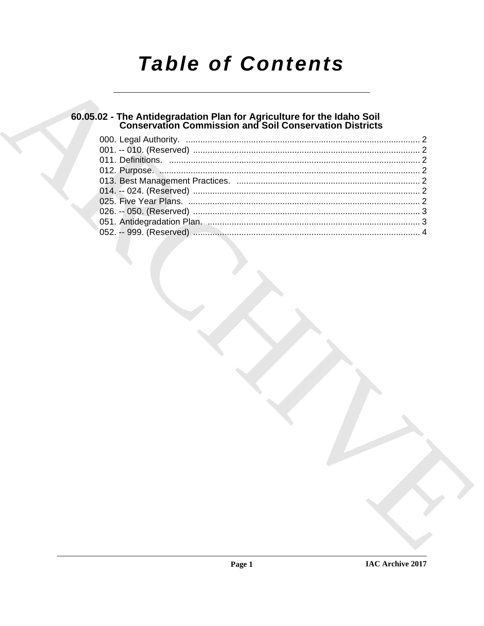# **Table of Contents**

# 60.05.02 - The Antidegradation Plan for Agriculture for the Idaho Soil<br>Conservation Commission and Soil Conservation Districts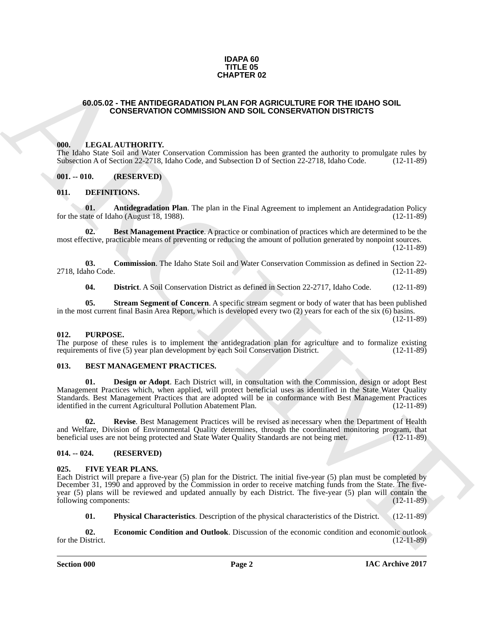#### **IDAPA 60 TITLE 05 CHAPTER 02**

#### <span id="page-1-0"></span>**60.05.02 - THE ANTIDEGRADATION PLAN FOR AGRICULTURE FOR THE IDAHO SOIL CONSERVATION COMMISSION AND SOIL CONSERVATION DISTRICTS**

#### <span id="page-1-1"></span>**000. LEGAL AUTHORITY.**

The Idaho State Soil and Water Conservation Commission has been granted the authority to promulgate rules by Subsection A of Section 22-2718, Idaho Code, and Subsection D of Section 22-2718, Idaho Code. (12-11-89) Subsection A of Section 22-2718, Idaho Code, and Subsection D of Section 22-2718, Idaho Code.

#### <span id="page-1-2"></span>**001. -- 010. (RESERVED)**

#### <span id="page-1-11"></span><span id="page-1-3"></span>**011. DEFINITIONS.**

<span id="page-1-12"></span>**01. Antidegradation Plan**. The plan in the Final Agreement to implement an Antidegradation Policy ate of Idaho (August 18, 1988). for the state of Idaho (August 18, 1988).

<span id="page-1-13"></span>**02. Best Management Practice**. A practice or combination of practices which are determined to be the most effective, practicable means of preventing or reducing the amount of pollution generated by nonpoint sources. (12-11-89)

**03. Commission**. The Idaho State Soil and Water Conservation Commission as defined in Section 22-<br>(12-11-89) 2718. Idaho Code.

<span id="page-1-16"></span><span id="page-1-15"></span><span id="page-1-14"></span>**04. District**. A Soil Conservation District as defined in Section 22-2717, Idaho Code. (12-11-89)

**05. Stream Segment of Concern**. A specific stream segment or body of water that has been published in the most current final Basin Area Report, which is developed every two (2) years for each of the six (6) basins. (12-11-89)

#### <span id="page-1-20"></span><span id="page-1-4"></span>**012. PURPOSE.**

The purpose of these rules is to implement the antidegradation plan for agriculture and to formalize existing requirements of five (5) year plan development by each Soil Conservation District. (12-11-89) requirements of five (5) year plan development by each Soil Conservation District.

## <span id="page-1-8"></span><span id="page-1-5"></span>**013. BEST MANAGEMENT PRACTICES.**

<span id="page-1-9"></span>**01. Design or Adopt**. Each District will, in consultation with the Commission, design or adopt Best Management Practices which, when applied, will protect beneficial uses as identified in the State Water Quality Standards. Best Management Practices that are adopted will be in conformance with Best Management Practices identified in the current Agricultural Pollution Abatement Plan. (12-11-89)

<span id="page-1-10"></span>**02. Revise**. Best Management Practices will be revised as necessary when the Department of Health and Welfare, Division of Environmental Quality determines, through the coordinated monitoring program, that beneficial uses are not being protected and State Water Quality Standards are not being met. (12-11-89)

#### <span id="page-1-6"></span>**014. -- 024. (RESERVED)**

#### <span id="page-1-17"></span><span id="page-1-7"></span>**025. FIVE YEAR PLANS.**

**64.66.02** THE ANTIBEORADATION HOMESTICAL REPORT FOR THE IDANO SOIL.<br> **CONSERVATION COMMISSION AND SOIL CONSERVATION DISTRICTS**<br> **CONSERVATION COMMISSION AND SOIL CONSERVATION DISTRICTS**<br> **CONSERVATION COMMISSION AND SOIL** Each District will prepare a five-year (5) plan for the District. The initial five-year (5) plan must be completed by December 31, 1990 and approved by the Commission in order to receive matching funds from the State. The fiveyear (5) plans will be reviewed and updated annually by each District. The five-year (5) plan will contain the following components:

<span id="page-1-19"></span><span id="page-1-18"></span>**01. Physical Characteristics**. Description of the physical characteristics of the District. (12-11-89)

**02. Economic Condition and Outlook**. Discussion of the economic condition and economic outlook istrict. (12-11-89) for the District.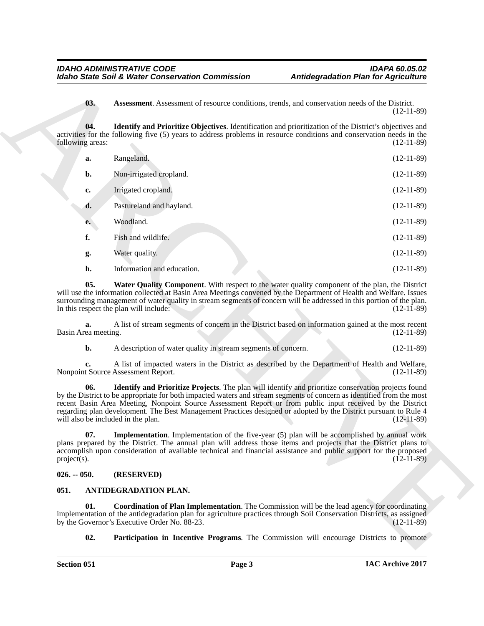<span id="page-2-6"></span><span id="page-2-5"></span>

|                                           | <b>Idaho State Soil &amp; Water Conservation Commission</b>                                                                                                                                                                                                                                                                                                                                                                                                    | <b>Antidegradation Plan for Agriculture</b>                                                    |
|-------------------------------------------|----------------------------------------------------------------------------------------------------------------------------------------------------------------------------------------------------------------------------------------------------------------------------------------------------------------------------------------------------------------------------------------------------------------------------------------------------------------|------------------------------------------------------------------------------------------------|
| 03.                                       | Assessment. Assessment of resource conditions, trends, and conservation needs of the District.                                                                                                                                                                                                                                                                                                                                                                 | $(12-11-89)$                                                                                   |
| 04.<br>following areas:                   | <b>Identify and Prioritize Objectives.</b> Identification and prioritization of the District's objectives and<br>activities for the following five (5) years to address problems in resource conditions and conservation needs in the                                                                                                                                                                                                                          | $(12-11-89)$                                                                                   |
| a.                                        | Rangeland.                                                                                                                                                                                                                                                                                                                                                                                                                                                     | $(12-11-89)$                                                                                   |
| b.                                        | Non-irrigated cropland.                                                                                                                                                                                                                                                                                                                                                                                                                                        | $(12-11-89)$                                                                                   |
| c.                                        | Irrigated cropland.                                                                                                                                                                                                                                                                                                                                                                                                                                            | $(12-11-89)$                                                                                   |
| d.                                        | Pastureland and hayland.                                                                                                                                                                                                                                                                                                                                                                                                                                       | $(12-11-89)$                                                                                   |
| e.                                        | Woodland.                                                                                                                                                                                                                                                                                                                                                                                                                                                      | $(12-11-89)$                                                                                   |
| f.                                        | Fish and wildlife.                                                                                                                                                                                                                                                                                                                                                                                                                                             | $(12-11-89)$                                                                                   |
| g.                                        | Water quality.                                                                                                                                                                                                                                                                                                                                                                                                                                                 | $(12-11-89)$                                                                                   |
| h.                                        | Information and education.                                                                                                                                                                                                                                                                                                                                                                                                                                     | $(12-11-89)$                                                                                   |
| 05.                                       | Water Quality Component. With respect to the water quality component of the plan, the District<br>will use the information collected at Basin Area Meetings convened by the Department of Health and Welfare. Issues<br>surrounding management of water quality in stream segments of concern will be addressed in this portion of the plan.<br>In this respect the plan will include:                                                                         | $(12-11-89)$                                                                                   |
| a.<br>Basin Area meeting.                 | A list of stream segments of concern in the District based on information gained at the most recent                                                                                                                                                                                                                                                                                                                                                            | $(12-11-89)$                                                                                   |
| b.                                        | A description of water quality in stream segments of concern.                                                                                                                                                                                                                                                                                                                                                                                                  | $(12-11-89)$                                                                                   |
|                                           | A list of impacted waters in the District as described by the Department of Health and Welfare,<br>Nonpoint Source Assessment Report.                                                                                                                                                                                                                                                                                                                          | $(12-11-89)$                                                                                   |
| 06.<br>will also be included in the plan. | Identify and Prioritize Projects. The plan will identify and prioritize conservation projects found<br>by the District to be appropriate for both impacted waters and stream segments of concern as identified from the most<br>recent Basin Area Meeting, Nonpoint Source Assessment Report or from public input received by the District<br>regarding plan development. The Best Management Practices designed or adopted by the District pursuant to Rule 4 | $(12-11-89)$                                                                                   |
| 07.<br>project(s).                        | <b>Implementation</b> . Implementation of the five-year (5) plan will be accomplished by annual work<br>plans prepared by the District. The annual plan will address those items and projects that the District plans to<br>accomplish upon consideration of available technical and financial assistance and public support for the proposed                                                                                                                  | $(12-11-89)$                                                                                   |
| $026. - 050.$                             | (RESERVED)                                                                                                                                                                                                                                                                                                                                                                                                                                                     |                                                                                                |
| 051.                                      | ANTIDEGRADATION PLAN.                                                                                                                                                                                                                                                                                                                                                                                                                                          |                                                                                                |
| 01.                                       | <b>Coordination of Plan Implementation</b> . The Commission will be the lead agency for coordinating<br>implementation of the antidegradation plan for agriculture practices through Soil Conservation Districts, as assigned<br>by the Governor's Executive Order No. 88-23.                                                                                                                                                                                  | $(12-11-89)$                                                                                   |
| 02.                                       |                                                                                                                                                                                                                                                                                                                                                                                                                                                                | <b>Participation in Incentive Programs.</b> The Commission will encourage Districts to promote |

## <span id="page-2-9"></span><span id="page-2-8"></span><span id="page-2-7"></span><span id="page-2-0"></span>**026. -- 050. (RESERVED)**

## <span id="page-2-4"></span><span id="page-2-3"></span><span id="page-2-2"></span><span id="page-2-1"></span>**051. ANTIDEGRADATION PLAN.**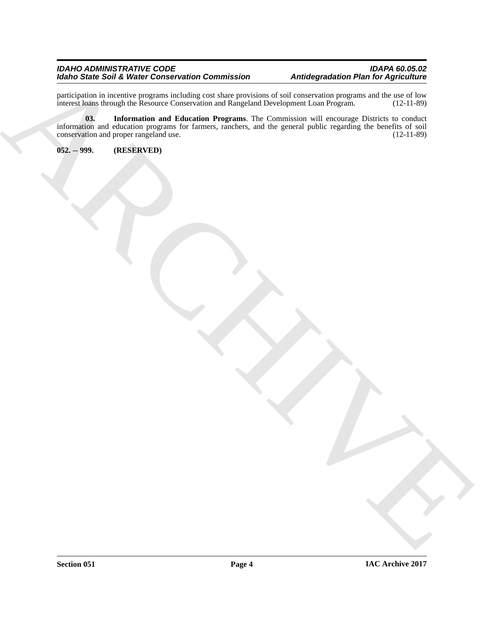### *IDAHO ADMINISTRATIVE CODE IDAPA 60.05.02 Idaho State Soil & Water Conservation Commission Antidegradation Plan for Agriculture*

<span id="page-3-1"></span>participation in incentive programs including cost share provisions of soil conservation programs and the use of low interest loans through the Resource Conservation and Rangeland Development Loan Program. (12-11-89)

Note Saint Said Value Conservation Commission<br>
Encircles and development for the conservation of the conservation of the conservation of the conservation of<br>
Higher and the construction of the conservation of the conservat **03. Information and Education Programs**. The Commission will encourage Districts to conduct information and education programs for farmers, ranchers, and the general public regarding the benefits of soil conservation and proper rangeland use. (12-11-89) conservation and proper rangeland use.

<span id="page-3-0"></span>**052. -- 999. (RESERVED)**